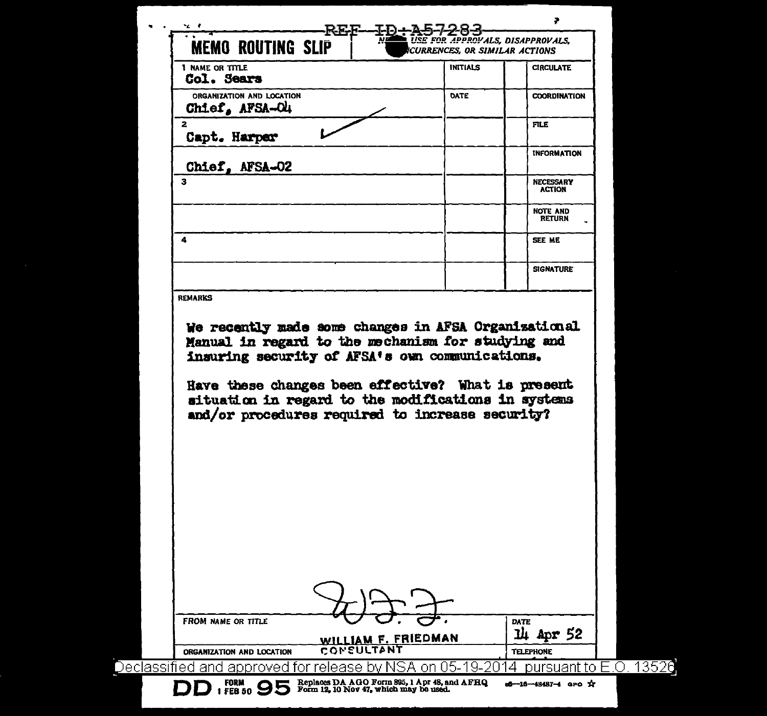| ~∠ e                                                                                                                                                                                                                                  | FOR APPROVALS, DISAPPROVALS.  |                                   |
|---------------------------------------------------------------------------------------------------------------------------------------------------------------------------------------------------------------------------------------|-------------------------------|-----------------------------------|
| <b>MEMO ROUTING SLIP</b>                                                                                                                                                                                                              | CURRENCES, OR SIMILAR ACTIONS |                                   |
| <b>1 NAME OR TITLE</b><br>Col. Sears                                                                                                                                                                                                  | <b>INITIALS</b>               | <b>CIRCULATE</b>                  |
| ORGANIZATION AND LOCATION<br>Chief, AFSA-O4                                                                                                                                                                                           | DATE                          | <b>COORDINATION</b>               |
| $\overline{a}$<br>Capt. Harper                                                                                                                                                                                                        |                               | <b>FILE</b>                       |
| Chief, AFSA-02                                                                                                                                                                                                                        |                               | <b>INFORMATION</b>                |
| 3                                                                                                                                                                                                                                     |                               | <b>NECESSARY</b><br><b>ACTION</b> |
|                                                                                                                                                                                                                                       |                               | NOTE AND<br><b>RETURN</b>         |
| 4                                                                                                                                                                                                                                     |                               | SEE ME                            |
|                                                                                                                                                                                                                                       |                               | <b>SIGNATURE</b>                  |
| <b>REMARKS</b><br>We recently made some changes in AFSA Organizational<br>Manual in regard to the mechanism for studying and<br>insuring security of AFSA's own communications.<br>Have these changes been effective? What is present |                               |                                   |
| situation in regard to the modifications in systems<br>and/or procedures required to increase security?                                                                                                                               |                               |                                   |
|                                                                                                                                                                                                                                       |                               |                                   |
|                                                                                                                                                                                                                                       |                               |                                   |
|                                                                                                                                                                                                                                       |                               |                                   |
|                                                                                                                                                                                                                                       |                               |                                   |
|                                                                                                                                                                                                                                       |                               |                                   |
|                                                                                                                                                                                                                                       |                               |                                   |
| FROM NAME OR TITLE<br>WILLIAM F. FRIEDMAN                                                                                                                                                                                             |                               | <b>DATE</b><br>14<br>Apr 52       |